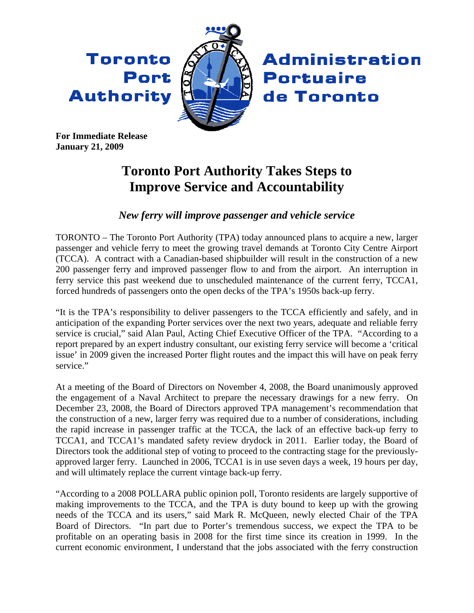Toronto Port **Authority** 



**Administration Portuaire** de Toronto

**For Immediate Release January 21, 2009** 

## **Toronto Port Authority Takes Steps to Improve Service and Accountability**

## *New ferry will improve passenger and vehicle service*

TORONTO – The Toronto Port Authority (TPA) today announced plans to acquire a new, larger passenger and vehicle ferry to meet the growing travel demands at Toronto City Centre Airport (TCCA). A contract with a Canadian-based shipbuilder will result in the construction of a new 200 passenger ferry and improved passenger flow to and from the airport. An interruption in ferry service this past weekend due to unscheduled maintenance of the current ferry, TCCA1, forced hundreds of passengers onto the open decks of the TPA's 1950s back-up ferry.

"It is the TPA's responsibility to deliver passengers to the TCCA efficiently and safely, and in anticipation of the expanding Porter services over the next two years, adequate and reliable ferry service is crucial," said Alan Paul, Acting Chief Executive Officer of the TPA. "According to a report prepared by an expert industry consultant, our existing ferry service will become a 'critical issue' in 2009 given the increased Porter flight routes and the impact this will have on peak ferry service."

At a meeting of the Board of Directors on November 4, 2008, the Board unanimously approved the engagement of a Naval Architect to prepare the necessary drawings for a new ferry. On December 23, 2008, the Board of Directors approved TPA management's recommendation that the construction of a new, larger ferry was required due to a number of considerations, including the rapid increase in passenger traffic at the TCCA, the lack of an effective back-up ferry to TCCA1, and TCCA1's mandated safety review drydock in 2011. Earlier today, the Board of Directors took the additional step of voting to proceed to the contracting stage for the previouslyapproved larger ferry. Launched in 2006, TCCA1 is in use seven days a week, 19 hours per day, and will ultimately replace the current vintage back-up ferry.

"According to a 2008 POLLARA public opinion poll, Toronto residents are largely supportive of making improvements to the TCCA, and the TPA is duty bound to keep up with the growing needs of the TCCA and its users," said Mark R. McQueen, newly elected Chair of the TPA Board of Directors. "In part due to Porter's tremendous success, we expect the TPA to be profitable on an operating basis in 2008 for the first time since its creation in 1999. In the current economic environment, I understand that the jobs associated with the ferry construction